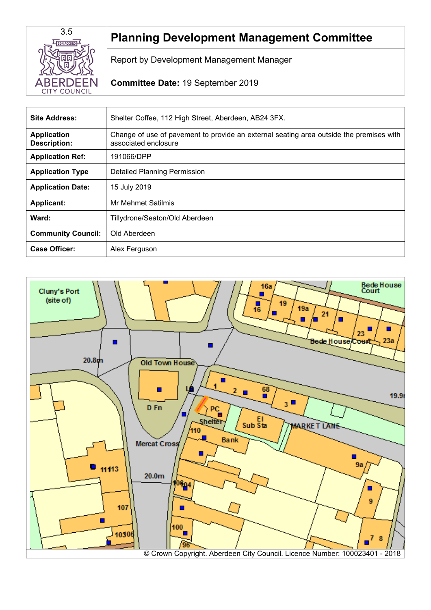

# **Planning Development Management Committee**

Report by Development Management Manager

# **Committee Date:** 19 September 2019

| <b>Site Address:</b>                      | Shelter Coffee, 112 High Street, Aberdeen, AB24 3FX.                                                            |
|-------------------------------------------|-----------------------------------------------------------------------------------------------------------------|
| <b>Application</b><br><b>Description:</b> | Change of use of pavement to provide an external seating area outside the premises with<br>associated enclosure |
| <b>Application Ref:</b>                   | 191066/DPP                                                                                                      |
| <b>Application Type</b>                   | <b>Detailed Planning Permission</b>                                                                             |
| <b>Application Date:</b>                  | 15 July 2019                                                                                                    |
| <b>Applicant:</b>                         | Mr Mehmet Satilmis                                                                                              |
| Ward:                                     | Tillydrone/Seaton/Old Aberdeen                                                                                  |
| <b>Community Council:</b>                 | Old Aberdeen                                                                                                    |
| Case Officer:                             | Alex Ferguson                                                                                                   |

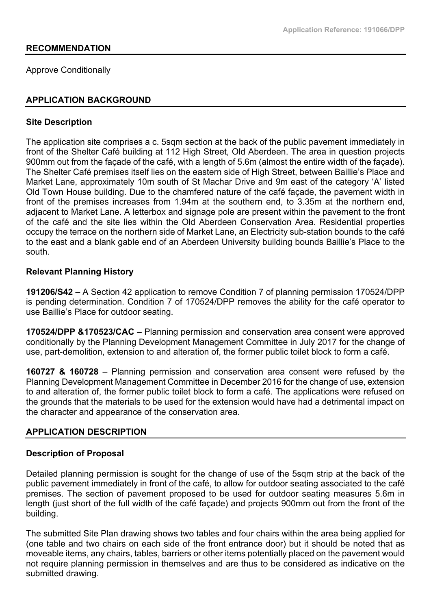## **RECOMMENDATION**

Approve Conditionally

## **APPLICATION BACKGROUND**

#### **Site Description**

The application site comprises a c. 5sqm section at the back of the public pavement immediately in front of the Shelter Café building at 112 High Street, Old Aberdeen. The area in question projects 900mm out from the façade of the café, with a length of 5.6m (almost the entire width of the façade). The Shelter Café premises itself lies on the eastern side of High Street, between Baillie's Place and Market Lane, approximately 10m south of St Machar Drive and 9m east of the category 'A' listed Old Town House building. Due to the chamfered nature of the café façade, the pavement width in front of the premises increases from 1.94m at the southern end, to 3.35m at the northern end, adjacent to Market Lane. A letterbox and signage pole are present within the pavement to the front of the café and the site lies within the Old Aberdeen Conservation Area. Residential properties occupy the terrace on the northern side of Market Lane, an Electricity sub-station bounds to the café to the east and a blank gable end of an Aberdeen University building bounds Baillie's Place to the south.

## **Relevant Planning History**

**191206/S42 –** A Section 42 application to remove Condition 7 of planning permission 170524/DPP is pending determination. Condition 7 of 170524/DPP removes the ability for the café operator to use Baillie's Place for outdoor seating.

**170524/DPP &170523/CAC –** Planning permission and conservation area consent were approved conditionally by the Planning Development Management Committee in July 2017 for the change of use, part-demolition, extension to and alteration of, the former public toilet block to form a café.

**160727 & 160728** – Planning permission and conservation area consent were refused by the Planning Development Management Committee in December 2016 for the change of use, extension to and alteration of, the former public toilet block to form a café. The applications were refused on the grounds that the materials to be used for the extension would have had a detrimental impact on the character and appearance of the conservation area.

# **APPLICATION DESCRIPTION**

#### **Description of Proposal**

Detailed planning permission is sought for the change of use of the 5sqm strip at the back of the public pavement immediately in front of the café, to allow for outdoor seating associated to the café premises. The section of pavement proposed to be used for outdoor seating measures 5.6m in length (just short of the full width of the café façade) and projects 900mm out from the front of the building.

The submitted Site Plan drawing shows two tables and four chairs within the area being applied for (one table and two chairs on each side of the front entrance door) but it should be noted that as moveable items, any chairs, tables, barriers or other items potentially placed on the pavement would not require planning permission in themselves and are thus to be considered as indicative on the submitted drawing.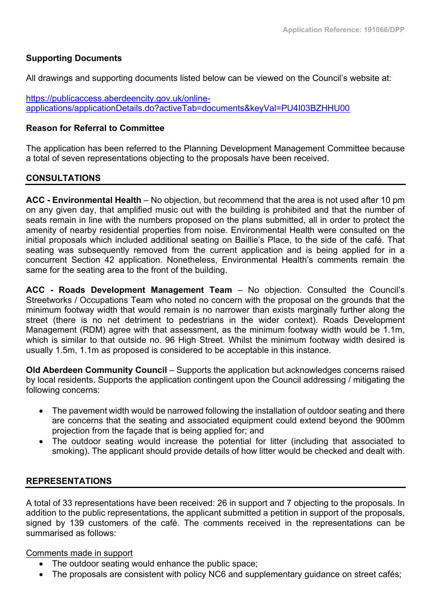# **Supporting Documents**

All drawings and supporting documents listed below can be viewed on the Council's website at:

[https://publicaccess.aberdeencity.gov.uk/online](https://publicaccess.aberdeencity.gov.uk/online-applications/applicationDetails.do?activeTab=documents&keyVal=PU4I03BZHHU00)[applications/applicationDetails.do?activeTab=documents&keyVal=PU4I03BZHHU00](https://publicaccess.aberdeencity.gov.uk/online-applications/applicationDetails.do?activeTab=documents&keyVal=PU4I03BZHHU00) 

## **Reason for Referral to Committee**

The application has been referred to the Planning Development Management Committee because a total of seven representations objecting to the proposals have been received.

# **CONSULTATIONS**

**ACC - Environmental Health** – No objection, but recommend that the area is not used after 10 pm on any given day, that amplified music out with the building is prohibited and that the number of seats remain in line with the numbers proposed on the plans submitted, all in order to protect the amenity of nearby residential properties from noise. Environmental Health were consulted on the initial proposals which included additional seating on Baillie's Place, to the side of the café. That seating was subsequently removed from the current application and is being applied for in a concurrent Section 42 application. Nonetheless, Environmental Health's comments remain the same for the seating area to the front of the building.

**ACC - Roads Development Management Team** – No objection. Consulted the Council's Streetworks / Occupations Team who noted no concern with the proposal on the grounds that the minimum footway width that would remain is no narrower than exists marginally further along the street (there is no net detriment to pedestrians in the wider context). Roads Development Management (RDM) agree with that assessment, as the minimum footway width would be 1.1m, which is similar to that outside no. 96 High Street. Whilst the minimum footway width desired is usually 1.5m, 1.1m as proposed is considered to be acceptable in this instance.

**Old Aberdeen Community Council** – Supports the application but acknowledges concerns raised by local residents. Supports the application contingent upon the Council addressing / mitigating the following concerns:

- The pavement width would be narrowed following the installation of outdoor seating and there are concerns that the seating and associated equipment could extend beyond the 900mm projection from the façade that is being applied for; and
- The outdoor seating would increase the potential for litter (including that associated to smoking). The applicant should provide details of how litter would be checked and dealt with.

# **REPRESENTATIONS**

A total of 33 representations have been received: 26 in support and 7 objecting to the proposals. In addition to the public representations, the applicant submitted a petition in support of the proposals, signed by 139 customers of the café. The comments received in the representations can be summarised as follows:

Comments made in support

- The outdoor seating would enhance the public space;
- The proposals are consistent with policy NC6 and supplementary guidance on street cafés;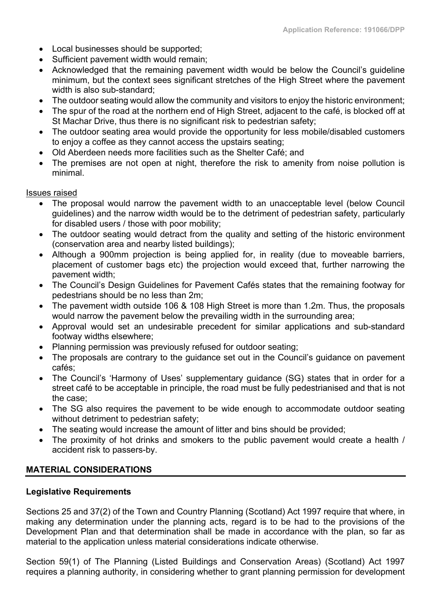- Local businesses should be supported;
- Sufficient pavement width would remain;
- Acknowledged that the remaining pavement width would be below the Council's guideline minimum, but the context sees significant stretches of the High Street where the pavement width is also sub-standard;
- The outdoor seating would allow the community and visitors to enjoy the historic environment;
- The spur of the road at the northern end of High Street, adiacent to the café, is blocked off at St Machar Drive, thus there is no significant risk to pedestrian safety;
- The outdoor seating area would provide the opportunity for less mobile/disabled customers to enjoy a coffee as they cannot access the upstairs seating;
- Old Aberdeen needs more facilities such as the Shelter Café; and
- The premises are not open at night, therefore the risk to amenity from noise pollution is minimal.

## Issues raised

- The proposal would narrow the pavement width to an unacceptable level (below Council guidelines) and the narrow width would be to the detriment of pedestrian safety, particularly for disabled users / those with poor mobility;
- The outdoor seating would detract from the quality and setting of the historic environment (conservation area and nearby listed buildings);
- Although a 900mm projection is being applied for, in reality (due to moveable barriers, placement of customer bags etc) the projection would exceed that, further narrowing the pavement width;
- The Council's Design Guidelines for Pavement Cafés states that the remaining footway for pedestrians should be no less than 2m;
- The pavement width outside 106 & 108 High Street is more than 1.2m. Thus, the proposals would narrow the pavement below the prevailing width in the surrounding area;
- Approval would set an undesirable precedent for similar applications and sub-standard footway widths elsewhere;
- Planning permission was previously refused for outdoor seating;
- The proposals are contrary to the quidance set out in the Council's quidance on pavement cafés;
- The Council's 'Harmony of Uses' supplementary guidance (SG) states that in order for a street café to be acceptable in principle, the road must be fully pedestrianised and that is not the case;
- The SG also requires the pavement to be wide enough to accommodate outdoor seating without detriment to pedestrian safety:
- The seating would increase the amount of litter and bins should be provided;
- The proximity of hot drinks and smokers to the public pavement would create a health / accident risk to passers-by.

# **MATERIAL CONSIDERATIONS**

# **Legislative Requirements**

Sections 25 and 37(2) of the Town and Country Planning (Scotland) Act 1997 require that where, in making any determination under the planning acts, regard is to be had to the provisions of the Development Plan and that determination shall be made in accordance with the plan, so far as material to the application unless material considerations indicate otherwise.

Section 59(1) of The Planning (Listed Buildings and Conservation Areas) (Scotland) Act 1997 requires a planning authority, in considering whether to grant planning permission for development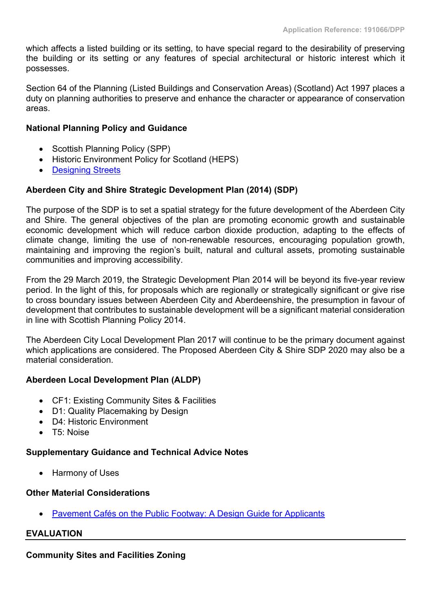which affects a listed building or its setting, to have special regard to the desirability of preserving the building or its setting or any features of special architectural or historic interest which it possesses.

Section 64 of the Planning (Listed Buildings and Conservation Areas) (Scotland) Act 1997 places a duty on planning authorities to preserve and enhance the character or appearance of conservation areas.

# **National Planning Policy and Guidance**

- Scottish Planning Policy (SPP)
- Historic Environment Policy for Scotland (HEPS)
- [Designing](https://www.gov.scot/publications/designing-streets-policy-statement-scotland/) Streets

# **Aberdeen City and Shire Strategic Development Plan (2014) (SDP)**

The purpose of the SDP is to set a spatial strategy for the future development of the Aberdeen City and Shire. The general objectives of the plan are promoting economic growth and sustainable economic development which will reduce carbon dioxide production, adapting to the effects of climate change, limiting the use of non-renewable resources, encouraging population growth, maintaining and improving the region's built, natural and cultural assets, promoting sustainable communities and improving accessibility.

From the 29 March 2019, the Strategic Development Plan 2014 will be beyond its five-year review period. In the light of this, for proposals which are regionally or strategically significant or give rise to cross boundary issues between Aberdeen City and Aberdeenshire, the presumption in favour of development that contributes to sustainable development will be a significant material consideration in line with Scottish Planning Policy 2014.

The Aberdeen City Local Development Plan 2017 will continue to be the primary document against which applications are considered. The Proposed Aberdeen City & Shire SDP 2020 may also be a material consideration.

# **Aberdeen Local Development Plan (ALDP)**

- CF1: Existing Community Sites & Facilities
- D1: Quality Placemaking by Design
- D4: Historic Environment
- T5: Noise

# **Supplementary Guidance and Technical Advice Notes**

Harmony of Uses

# **Other Material Considerations**

Pavement Cafés on the Public Footway: A Design Guide for [Applicants](https://www.aberdeencity.gov.uk/sites/default/files/2019-05/Design%20Guide%20for%20Pavement%20Cafes%202019.pdf)

# **EVALUATION**

**Community Sites and Facilities Zoning**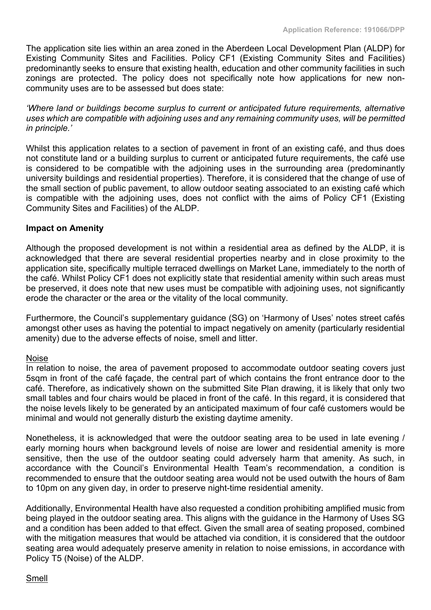The application site lies within an area zoned in the Aberdeen Local Development Plan (ALDP) for Existing Community Sites and Facilities. Policy CF1 (Existing Community Sites and Facilities) predominantly seeks to ensure that existing health, education and other community facilities in such zonings are protected. The policy does not specifically note how applications for new noncommunity uses are to be assessed but does state:

*'Where land or buildings become surplus to current or anticipated future requirements, alternative uses which are compatible with adjoining uses and any remaining community uses, will be permitted in principle.'*

Whilst this application relates to a section of pavement in front of an existing café, and thus does not constitute land or a building surplus to current or anticipated future requirements, the café use is considered to be compatible with the adjoining uses in the surrounding area (predominantly university buildings and residential properties). Therefore, it is considered that the change of use of the small section of public pavement, to allow outdoor seating associated to an existing café which is compatible with the adjoining uses, does not conflict with the aims of Policy CF1 (Existing Community Sites and Facilities) of the ALDP.

## **Impact on Amenity**

Although the proposed development is not within a residential area as defined by the ALDP, it is acknowledged that there are several residential properties nearby and in close proximity to the application site, specifically multiple terraced dwellings on Market Lane, immediately to the north of the café. Whilst Policy CF1 does not explicitly state that residential amenity within such areas must be preserved, it does note that new uses must be compatible with adjoining uses, not significantly erode the character or the area or the vitality of the local community.

Furthermore, the Council's supplementary guidance (SG) on 'Harmony of Uses' notes street cafés amongst other uses as having the potential to impact negatively on amenity (particularly residential amenity) due to the adverse effects of noise, smell and litter.

#### Noise

In relation to noise, the area of pavement proposed to accommodate outdoor seating covers just 5sqm in front of the café façade, the central part of which contains the front entrance door to the café. Therefore, as indicatively shown on the submitted Site Plan drawing, it is likely that only two small tables and four chairs would be placed in front of the café. In this regard, it is considered that the noise levels likely to be generated by an anticipated maximum of four café customers would be minimal and would not generally disturb the existing daytime amenity.

Nonetheless, it is acknowledged that were the outdoor seating area to be used in late evening / early morning hours when background levels of noise are lower and residential amenity is more sensitive, then the use of the outdoor seating could adversely harm that amenity. As such, in accordance with the Council's Environmental Health Team's recommendation, a condition is recommended to ensure that the outdoor seating area would not be used outwith the hours of 8am to 10pm on any given day, in order to preserve night-time residential amenity.

Additionally, Environmental Health have also requested a condition prohibiting amplified music from being played in the outdoor seating area. This aligns with the guidance in the Harmony of Uses SG and a condition has been added to that effect. Given the small area of seating proposed, combined with the mitigation measures that would be attached via condition, it is considered that the outdoor seating area would adequately preserve amenity in relation to noise emissions, in accordance with Policy T5 (Noise) of the ALDP.

# Smell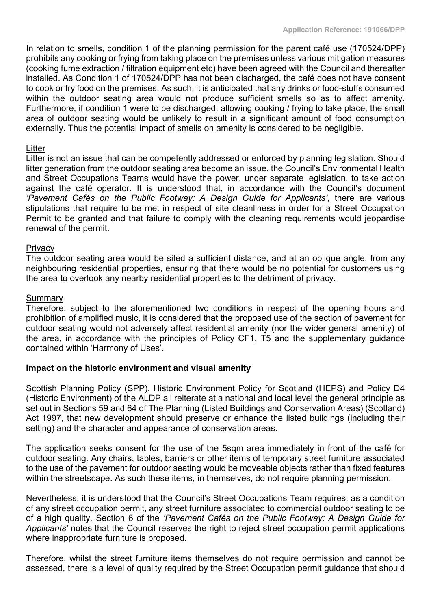In relation to smells, condition 1 of the planning permission for the parent café use (170524/DPP) prohibits any cooking or frying from taking place on the premises unless various mitigation measures (cooking fume extraction / filtration equipment etc) have been agreed with the Council and thereafter installed. As Condition 1 of 170524/DPP has not been discharged, the café does not have consent to cook or fry food on the premises. As such, it is anticipated that any drinks or food-stuffs consumed within the outdoor seating area would not produce sufficient smells so as to affect amenity. Furthermore, if condition 1 were to be discharged, allowing cooking / frying to take place, the small area of outdoor seating would be unlikely to result in a significant amount of food consumption externally. Thus the potential impact of smells on amenity is considered to be negligible.

## **Litter**

Litter is not an issue that can be competently addressed or enforced by planning legislation. Should litter generation from the outdoor seating area become an issue, the Council's Environmental Health and Street Occupations Teams would have the power, under separate legislation, to take action against the café operator. It is understood that, in accordance with the Council's document *'Pavement Cafés on the Public Footway: A Design Guide for Applicants'*, there are various stipulations that require to be met in respect of site cleanliness in order for a Street Occupation Permit to be granted and that failure to comply with the cleaning requirements would jeopardise renewal of the permit.

#### **Privacy**

The outdoor seating area would be sited a sufficient distance, and at an oblique angle, from any neighbouring residential properties, ensuring that there would be no potential for customers using the area to overlook any nearby residential properties to the detriment of privacy.

#### **Summary**

Therefore, subject to the aforementioned two conditions in respect of the opening hours and prohibition of amplified music, it is considered that the proposed use of the section of pavement for outdoor seating would not adversely affect residential amenity (nor the wider general amenity) of the area, in accordance with the principles of Policy CF1, T5 and the supplementary guidance contained within 'Harmony of Uses'.

# **Impact on the historic environment and visual amenity**

Scottish Planning Policy (SPP), Historic Environment Policy for Scotland (HEPS) and Policy D4 (Historic Environment) of the ALDP all reiterate at a national and local level the general principle as set out in Sections 59 and 64 of The Planning (Listed Buildings and Conservation Areas) (Scotland) Act 1997, that new development should preserve or enhance the listed buildings (including their setting) and the character and appearance of conservation areas.

The application seeks consent for the use of the 5sqm area immediately in front of the café for outdoor seating. Any chairs, tables, barriers or other items of temporary street furniture associated to the use of the pavement for outdoor seating would be moveable objects rather than fixed features within the streetscape. As such these items, in themselves, do not require planning permission.

Nevertheless, it is understood that the Council's Street Occupations Team requires, as a condition of any street occupation permit, any street furniture associated to commercial outdoor seating to be of a high quality. Section 6 of the *'Pavement Cafés on the Public Footway: A Design Guide for Applicants'* notes that the Council reserves the right to reject street occupation permit applications where inappropriate furniture is proposed.

Therefore, whilst the street furniture items themselves do not require permission and cannot be assessed, there is a level of quality required by the Street Occupation permit guidance that should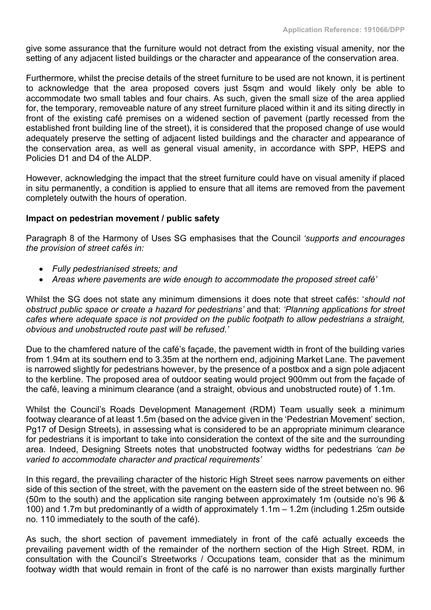give some assurance that the furniture would not detract from the existing visual amenity, nor the setting of any adjacent listed buildings or the character and appearance of the conservation area.

Furthermore, whilst the precise details of the street furniture to be used are not known, it is pertinent to acknowledge that the area proposed covers just 5sqm and would likely only be able to accommodate two small tables and four chairs. As such, given the small size of the area applied for, the temporary, removeable nature of any street furniture placed within it and its siting directly in front of the existing café premises on a widened section of pavement (partly recessed from the established front building line of the street), it is considered that the proposed change of use would adequately preserve the setting of adjacent listed buildings and the character and appearance of the conservation area, as well as general visual amenity, in accordance with SPP, HEPS and Policies D1 and D4 of the ALDP

However, acknowledging the impact that the street furniture could have on visual amenity if placed in situ permanently, a condition is applied to ensure that all items are removed from the pavement completely outwith the hours of operation.

# **Impact on pedestrian movement / public safety**

Paragraph 8 of the Harmony of Uses SG emphasises that the Council *'supports and encourages the provision of street cafés in:*

- *Fully pedestrianised streets; and*
- *Areas where pavements are wide enough to accommodate the proposed street café'*

Whilst the SG does not state any minimum dimensions it does note that street cafés: '*should not obstruct public space or create a hazard for pedestrians'* and that: *'Planning applications for street cafes where adequate space is not provided on the public footpath to allow pedestrians a straight, obvious and unobstructed route past will be refused.'*

Due to the chamfered nature of the café's façade, the pavement width in front of the building varies from 1.94m at its southern end to 3.35m at the northern end, adjoining Market Lane. The pavement is narrowed slightly for pedestrians however, by the presence of a postbox and a sign pole adjacent to the kerbline. The proposed area of outdoor seating would project 900mm out from the façade of the café, leaving a minimum clearance (and a straight, obvious and unobstructed route) of 1.1m.

Whilst the Council's Roads Development Management (RDM) Team usually seek a minimum footway clearance of at least 1.5m (based on the advice given in the 'Pedestrian Movement' section, Pg17 of Design Streets), in assessing what is considered to be an appropriate minimum clearance for pedestrians it is important to take into consideration the context of the site and the surrounding area. Indeed, Designing Streets notes that unobstructed footway widths for pedestrians *'can be varied to accommodate character and practical requirements'*

In this regard, the prevailing character of the historic High Street sees narrow pavements on either side of this section of the street, with the pavement on the eastern side of the street between no. 96 (50m to the south) and the application site ranging between approximately 1m (outside no's 96 & 100) and 1.7m but predominantly of a width of approximately 1.1m – 1.2m (including 1.25m outside no. 110 immediately to the south of the café).

As such, the short section of pavement immediately in front of the café actually exceeds the prevailing pavement width of the remainder of the northern section of the High Street. RDM, in consultation with the Council's Streetworks / Occupations team, consider that as the minimum footway width that would remain in front of the café is no narrower than exists marginally further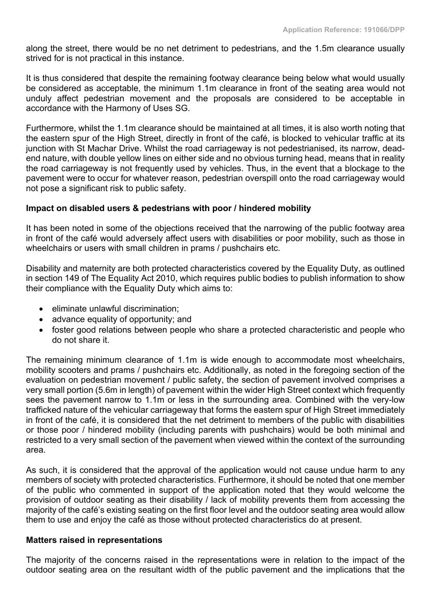along the street, there would be no net detriment to pedestrians, and the 1.5m clearance usually strived for is not practical in this instance.

It is thus considered that despite the remaining footway clearance being below what would usually be considered as acceptable, the minimum 1.1m clearance in front of the seating area would not unduly affect pedestrian movement and the proposals are considered to be acceptable in accordance with the Harmony of Uses SG.

Furthermore, whilst the 1.1m clearance should be maintained at all times, it is also worth noting that the eastern spur of the High Street, directly in front of the café, is blocked to vehicular traffic at its junction with St Machar Drive. Whilst the road carriageway is not pedestrianised, its narrow, deadend nature, with double yellow lines on either side and no obvious turning head, means that in reality the road carriageway is not frequently used by vehicles. Thus, in the event that a blockage to the pavement were to occur for whatever reason, pedestrian overspill onto the road carriageway would not pose a significant risk to public safety.

# **Impact on disabled users & pedestrians with poor / hindered mobility**

It has been noted in some of the objections received that the narrowing of the public footway area in front of the café would adversely affect users with disabilities or poor mobility, such as those in wheelchairs or users with small children in prams / pushchairs etc.

Disability and maternity are both protected characteristics covered by the Equality Duty, as outlined in section 149 of The Equality Act 2010, which requires public bodies to publish information to show their compliance with the Equality Duty which aims to:

- eliminate unlawful discrimination:
- advance equality of opportunity; and
- foster good relations between people who share a protected characteristic and people who do not share it.

The remaining minimum clearance of 1.1m is wide enough to accommodate most wheelchairs, mobility scooters and prams / pushchairs etc. Additionally, as noted in the foregoing section of the evaluation on pedestrian movement / public safety, the section of pavement involved comprises a very small portion (5.6m in length) of pavement within the wider High Street context which frequently sees the pavement narrow to 1.1m or less in the surrounding area. Combined with the very-low trafficked nature of the vehicular carriageway that forms the eastern spur of High Street immediately in front of the café, it is considered that the net detriment to members of the public with disabilities or those poor / hindered mobility (including parents with pushchairs) would be both minimal and restricted to a very small section of the pavement when viewed within the context of the surrounding area.

As such, it is considered that the approval of the application would not cause undue harm to any members of society with protected characteristics. Furthermore, it should be noted that one member of the public who commented in support of the application noted that they would welcome the provision of outdoor seating as their disability / lack of mobility prevents them from accessing the majority of the café's existing seating on the first floor level and the outdoor seating area would allow them to use and enjoy the café as those without protected characteristics do at present.

#### **Matters raised in representations**

The majority of the concerns raised in the representations were in relation to the impact of the outdoor seating area on the resultant width of the public pavement and the implications that the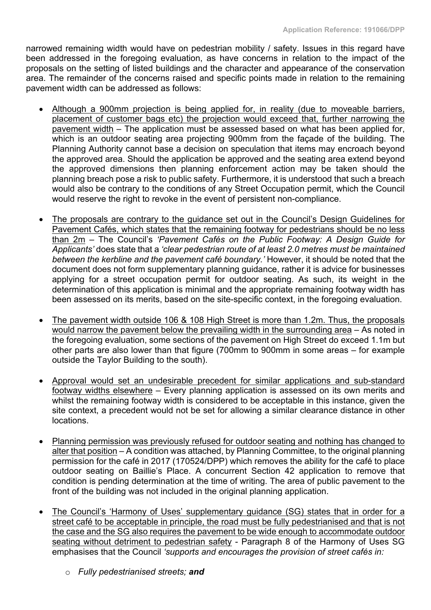narrowed remaining width would have on pedestrian mobility / safety. Issues in this regard have been addressed in the foregoing evaluation, as have concerns in relation to the impact of the proposals on the setting of listed buildings and the character and appearance of the conservation area. The remainder of the concerns raised and specific points made in relation to the remaining pavement width can be addressed as follows:

- Although a 900mm projection is being applied for, in reality (due to moveable barriers, placement of customer bags etc) the projection would exceed that, further narrowing the pavement width – The application must be assessed based on what has been applied for, which is an outdoor seating area projecting 900mm from the façade of the building. The Planning Authority cannot base a decision on speculation that items may encroach beyond the approved area. Should the application be approved and the seating area extend beyond the approved dimensions then planning enforcement action may be taken should the planning breach pose a risk to public safety. Furthermore, it is understood that such a breach would also be contrary to the conditions of any Street Occupation permit, which the Council would reserve the right to revoke in the event of persistent non-compliance.
- The proposals are contrary to the guidance set out in the Council's Design Guidelines for Pavement Cafés, which states that the remaining footway for pedestrians should be no less than 2m – The Council's *'Pavement Cafés on the Public Footway: A Design Guide for Applicants'* does state that a *'clear pedestrian route of at least 2.0 metres must be maintained between the kerbline and the pavement café boundary.'* However, it should be noted that the document does not form supplementary planning guidance, rather it is advice for businesses applying for a street occupation permit for outdoor seating. As such, its weight in the determination of this application is minimal and the appropriate remaining footway width has been assessed on its merits, based on the site-specific context, in the foregoing evaluation.
- The pavement width outside 106 & 108 High Street is more than 1.2m. Thus, the proposals would narrow the pavement below the prevailing width in the surrounding area – As noted in the foregoing evaluation, some sections of the pavement on High Street do exceed 1.1m but other parts are also lower than that figure (700mm to 900mm in some areas – for example outside the Taylor Building to the south).
- Approval would set an undesirable precedent for similar applications and sub-standard footway widths elsewhere – Every planning application is assessed on its own merits and whilst the remaining footway width is considered to be acceptable in this instance, given the site context, a precedent would not be set for allowing a similar clearance distance in other locations.
- Planning permission was previously refused for outdoor seating and nothing has changed to alter that position – A condition was attached, by Planning Committee, to the original planning permission for the café in 2017 (170524/DPP) which removes the ability for the café to place outdoor seating on Baillie's Place. A concurrent Section 42 application to remove that condition is pending determination at the time of writing. The area of public pavement to the front of the building was not included in the original planning application.
- The Council's 'Harmony of Uses' supplementary guidance (SG) states that in order for a street café to be acceptable in principle, the road must be fully pedestrianised and that is not the case and the SG also requires the pavement to be wide enough to accommodate outdoor seating without detriment to pedestrian safety - Paragraph 8 of the Harmony of Uses SG emphasises that the Council *'supports and encourages the provision of street cafés in:*
	- o *Fully pedestrianised streets; and*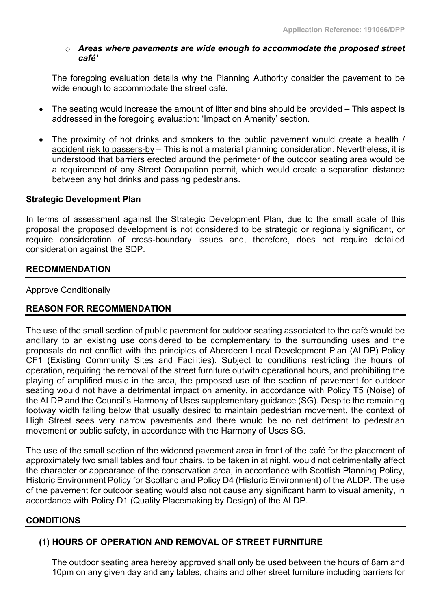## o *Areas where pavements are wide enough to accommodate the proposed street café'*

The foregoing evaluation details why the Planning Authority consider the pavement to be wide enough to accommodate the street café.

- The seating would increase the amount of litter and bins should be provided This aspect is addressed in the foregoing evaluation: 'Impact on Amenity' section.
- The proximity of hot drinks and smokers to the public pavement would create a health / accident risk to passers-by – This is not a material planning consideration. Nevertheless, it is understood that barriers erected around the perimeter of the outdoor seating area would be a requirement of any Street Occupation permit, which would create a separation distance between any hot drinks and passing pedestrians.

# **Strategic Development Plan**

In terms of assessment against the Strategic Development Plan, due to the small scale of this proposal the proposed development is not considered to be strategic or regionally significant, or require consideration of cross-boundary issues and, therefore, does not require detailed consideration against the SDP.

# **RECOMMENDATION**

Approve Conditionally

# **REASON FOR RECOMMENDATION**

The use of the small section of public pavement for outdoor seating associated to the café would be ancillary to an existing use considered to be complementary to the surrounding uses and the proposals do not conflict with the principles of Aberdeen Local Development Plan (ALDP) Policy CF1 (Existing Community Sites and Facilities). Subject to conditions restricting the hours of operation, requiring the removal of the street furniture outwith operational hours, and prohibiting the playing of amplified music in the area, the proposed use of the section of pavement for outdoor seating would not have a detrimental impact on amenity, in accordance with Policy T5 (Noise) of the ALDP and the Council's Harmony of Uses supplementary guidance (SG). Despite the remaining footway width falling below that usually desired to maintain pedestrian movement, the context of High Street sees very narrow pavements and there would be no net detriment to pedestrian movement or public safety, in accordance with the Harmony of Uses SG.

The use of the small section of the widened pavement area in front of the café for the placement of approximately two small tables and four chairs, to be taken in at night, would not detrimentally affect the character or appearance of the conservation area, in accordance with Scottish Planning Policy, Historic Environment Policy for Scotland and Policy D4 (Historic Environment) of the ALDP. The use of the pavement for outdoor seating would also not cause any significant harm to visual amenity, in accordance with Policy D1 (Quality Placemaking by Design) of the ALDP.

#### **CONDITIONS**

# **(1) HOURS OF OPERATION AND REMOVAL OF STREET FURNITURE**

The outdoor seating area hereby approved shall only be used between the hours of 8am and 10pm on any given day and any tables, chairs and other street furniture including barriers for